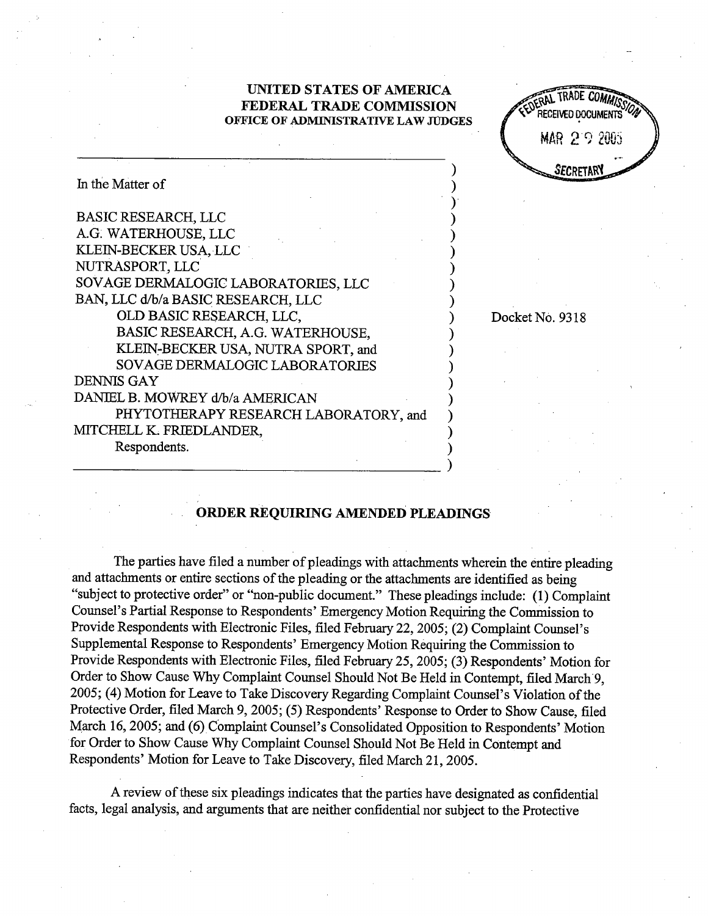## UNITED STATES OF AMRICA FEDERAL TRADE COMMISSION OFFICE OF ADMINISTRATIVE LAW JUDGES



Docket No. 9318

℩

| In the Matter of                      |  |
|---------------------------------------|--|
| <b>BASIC RESEARCH, LLC</b>            |  |
| A.G. WATERHOUSE, LLC                  |  |
| KLEIN-BECKER USA, LLC                 |  |
| NUTRASPORT, LLC                       |  |
| SOVAGE DERMALOGIC LABORATORIES, LLC   |  |
| BAN, LLC d/b/a BASIC RESEARCH, LLC    |  |
| OLD BASIC RESEARCH, LLC,              |  |
| BASIC RESEARCH, A.G. WATERHOUSE,      |  |
| KLEIN-BECKER USA, NUTRA SPORT, and    |  |
| SOVAGE DERMALOGIC LABORATORIES        |  |
| <b>DENNIS GAY</b>                     |  |
| DANIEL B. MOWREY d/b/a AMERICAN       |  |
| PHYTOTHERAPY RESEARCH LABORATORY, and |  |
| MITCHELL K. FRIEDLANDER,              |  |
| Respondents.                          |  |
|                                       |  |

## ORDER REQUIRING AMENDED PLEADINGS

The parties have filed a number of pleadings with attachments wherein the entire pleading and attachments or entie sections of the pleading or the attachments are identified as being "subject to protective order" or "non-public document." These pleadings include: (1) Complaint Counsel's Partial Response to Respondents' Emergency Motion Requiring the Commission to Provide Respondents with Electronic Files, filed February 22, 2005; (2) Complaint Counsel's Supplemental Response to Respondents' Emergency Motion Requiring the Commission to Provide Respondents with Electronic Files, filed February 25, 2005; (3) Respondents' Motion for Order to Show Cause Why Complaint Counsel Should Not Be Held in Contempt, filed March 9. 2005; (4) Motion for Leave to Take Discovery Regarding Complaint Counsel's Violation of the Protective Order, filed March 9, 2005; (5) Respondents' Response to Order to Show Cause, filed March 16, 2005; and (6) Complaint Counsel's Consolidated Opposition to Respondents' Motion for Order to Show Cause Why Complaint Counsel Should Not Be Held in Contempt and Respondents' Motion for Leave to Take Discovery, filed March 21, 2005.

A review of these six pleadigs indicates that the paries have designated as confdential facts, legal analysis, and arguments that are neither confidential nor subject to the Protective